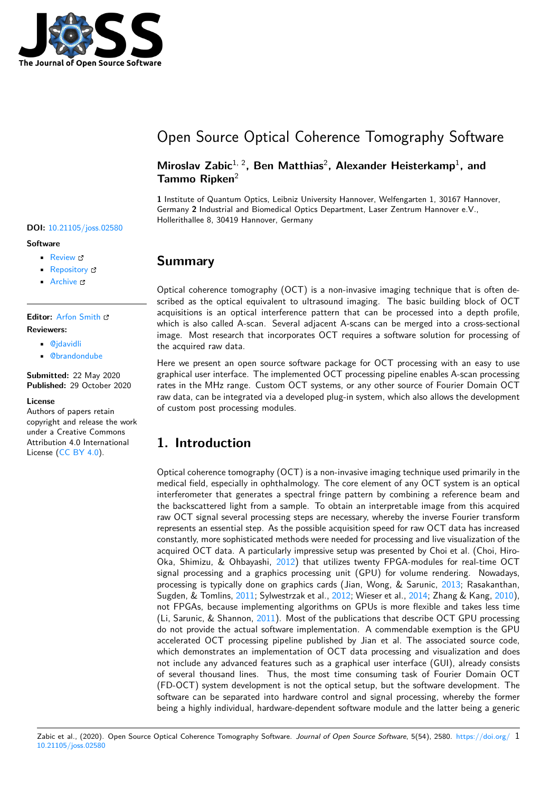

# Open Source Optical Coherence Tomography Software

### Miroslav Zabic<sup>1, 2</sup>, Ben Matthias<sup>2</sup>, Alexander Heisterkamp<sup>1</sup>, and **Tammo Ripken**<sup>2</sup>

**1** Institute of Quantum Optics, Leibniz University Hannover, Welfengarten 1, 30167 Hannover, Germany **2** Industrial and Biomedical Optics Department, Laser Zentrum Hannover e.V., Hollerithallee 8, 30419 Hannover, Germany

### **Summary**

Optical coherence tomography (OCT) is a non-invasive imaging technique that is often described as the optical equivalent to ultrasound imaging. The basic building block of OCT acquisitions is an optical interference pattern that can be processed into a depth profile, which is also called A-scan. Several adjacent A-scans can be merged into a cross-sectional image. Most research that incorporates OCT requires a software solution for processing of the acquired raw data.

Here we present an open source software package for OCT processing with an easy to use graphical user interface. The implemented OCT processing pipeline enables A-scan processing rates in the MHz range. Custom OCT systems, or any other source of Fourier Domain OCT raw data, can be integrated via a developed plug-in system, which also allows the development of custom post processing modules.

# **1. Introduction**

Optical coherence tomography (OCT) is a non-invasive imaging technique used primarily in the medical field, especially in ophthalmology. The core element of any OCT system is an optical interferometer that generates a spectral fringe pattern by combining a reference beam and the backscattered light from a sample. To obtain an interpretable image from this acquired raw OCT signal several processing steps are necessary, whereby the inverse Fourier transform represents an essential step. As the possible acquisition speed for raw OCT data has increased constantly, more sophisticated methods were needed for processing and live visualization of the acquired OCT data. A particularly impressive setup was presented by Choi et al. (Choi, Hiro-Oka, Shimizu, & Ohbayashi, 2012) that utilizes twenty FPGA-modules for real-time OCT signal processing and a graphics processing unit (GPU) for volume rendering. Nowadays, processing is typically done on graphics cards (Jian, Wong, & Sarunic, 2013; Rasakanthan, Sugden, & Tomlins, 2011; Sylwestrzak et al., 2012; Wieser et al., 2014; Zhang & Kang, 2010), not FPGAs, because impleme[nting](#page-4-0) algorithms on GPUs is more flexible and takes less time (Li, Sarunic, & Shannon, 2011). Most of the publications that describe OCT GPU processing do not provide the actual software implementation. A commendable ex[empti](#page-4-1)on is the GPU accelerated OCT pr[ocess](#page-4-2)ing pipeline publis[hed b](#page-4-3)y Jian et al. [The a](#page-4-4)ssociated sourc[e code](#page-4-5), which demonstrates an implementation of OCT data processing and visualization and does not include any advance[d feat](#page-4-6)ures such as a graphical user interface (GUI), already consists of several thousand lines. Thus, the most time consuming task of Fourier Domain OCT (FD-OCT) system development is not the optical setup, but the software development. The software can be separated into hardware control and signal processing, whereby the former being a highly individual, hardware-dependent software module and the latter being a generic

Zabic et al., (2020). Open Source Optical Coherence Tomography Software. *Journal of Open Source Software*, 5(54), 2580. https://doi.org/ 110.21105/joss.02580

#### **DOI:** 10.21105/joss.02580

#### **Software**

- Review C
- [Repository](https://doi.org/10.21105/joss.02580) &
- Archive

#### **Editor:** [Arfon Sm](https://github.com/spectralcode/OCTproZ)ith

### **Revie[wers:](https://doi.org/10.5281/zenodo.4148992)**

- @jdavidli
- @[brandondube](http://arfon.org/)

**Submitted:** 22 May 2020 **Publi[shed:](https://github.com/jdavidli)** 29 October 2020

#### **License**

Autho[rs of papers ret](https://github.com/brandondube)ain copyright and release the work under a Creative Commons Attribution 4.0 International License (CC BY 4.0).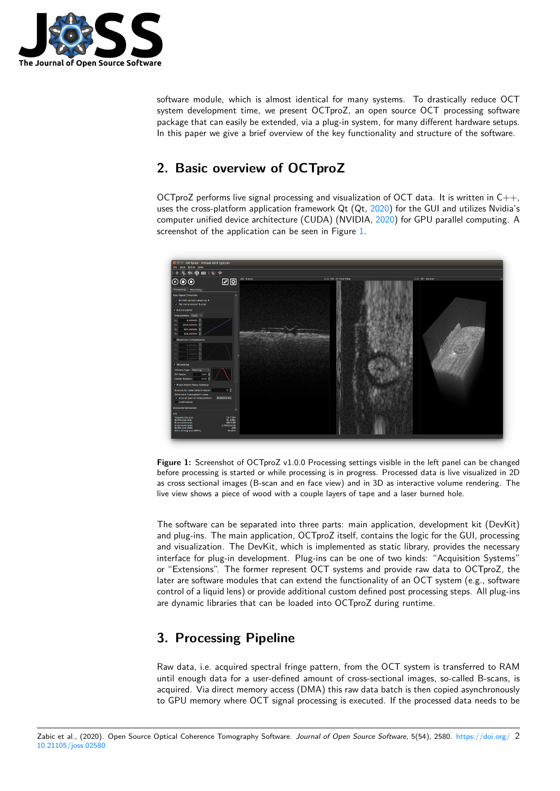

software module, which is almost identical for many systems. To drastically reduce OCT system development time, we present OCTproZ, an open source OCT processing software package that can easily be extended, via a plug-in system, for many different hardware setups. In this paper we give a brief overview of the key functionality and structure of the software.

## **2. Basic overview of OCTproZ**

OCTproZ performs live signal processing and visualization of OCT data. It is written in  $C_{++}$ , uses the cross-platform application framework  $Qt (Qt, 2020)$  for the GUI and utilizes Nvidia's computer unified device architecture (CUDA) (NVIDIA, 2020) for GPU parallel computing. A screenshot of the application can be seen in Figure 1.



**Figure 1:** Screenshot of OCTproZ v1.0.0 Processing settings visible in the left panel can be changed before processing is started or while processing is in progress. Processed data is live visualized in 2D as cross sectional images (B-scan and en face view) and in 3D as interactive volume rendering. The live view shows a piece of wood with a couple layers of tape and a laser burned hole.

The software can be separated into three parts: main application, development kit (DevKit) and plug-ins. The main application, OCTproZ itself, contains the logic for the GUI, processing and visualization. The DevKit, which is implemented as static library, provides the necessary interface for plug-in development. Plug-ins can be one of two kinds: "Acquisition Systems" or "Extensions". The former represent OCT systems and provide raw data to OCTproZ, the later are software modules that can extend the functionality of an OCT system (e.g., software control of a liquid lens) or provide additional custom defined post processing steps. All plug-ins are dynamic libraries that can be loaded into OCTproZ during runtime.

# **3. Processing Pipeline**

Raw data, i.e. acquired spectral fringe pattern, from the OCT system is transferred to RAM until enough data for a user-defined amount of cross-sectional images, so-called B-scans, is acquired. Via direct memory access (DMA) this raw data batch is then copied asynchronously to GPU memory where OCT signal processing is executed. If the processed data needs to be

Zabic et al., (2020). Open Source Optical Coherence Tomography Software. *Journal of Open Source Software*, 5(54), 2580. https://doi.org/ 210.21105/joss.02580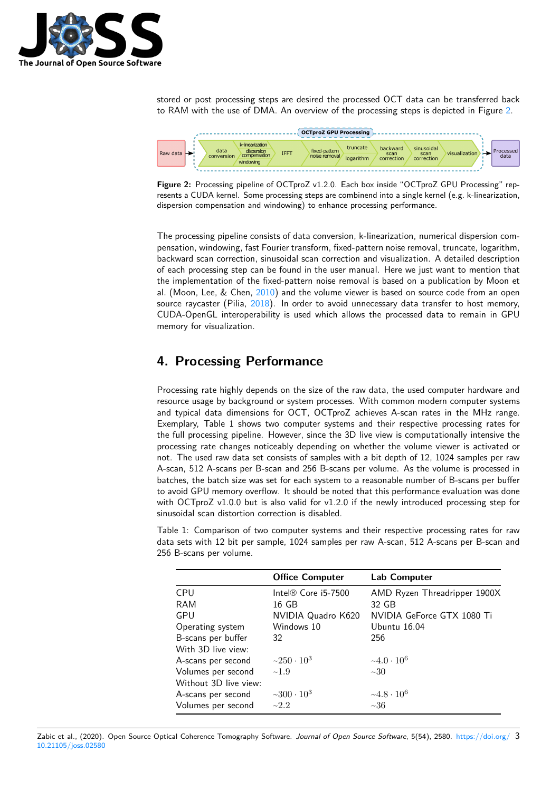

stored or post processing steps are desired the processed OCT data can be transferred back to RAM with the use of DMA. An overview of the processing steps is depicted in Figure 2.





The processing pipeline consists of data conversion, k-linearization, numerical dispersion compensation, windowing, fast Fourier transform, fixed-pattern noise removal, truncate, logarithm, backward scan correction, sinusoidal scan correction and visualization. A detailed description of each processing step can be found in the user manual. Here we just want to mention that the implementation of the fixed-pattern noise removal is based on a publication by Moon et al. (Moon, Lee, & Chen, 2010) and the volume viewer is based on source code from an open source raycaster (Pilia, 2018). In order to avoid unnecessary data transfer to host memory, CUDA-OpenGL interoperability is used which allows the processed data to remain in GPU memory for visualization.

## **4. Processing [Perf](#page-4-7)ormance**

Processing rate highly depends on the size of the raw data, the used computer hardware and resource usage by background or system processes. With common modern computer systems and typical data dimensions for OCT, OCTproZ achieves A-scan rates in the MHz range. Exemplary, Table 1 shows two computer systems and their respective processing rates for the full processing pipeline. However, since the 3D live view is computationally intensive the processing rate changes noticeably depending on whether the volume viewer is activated or not. The used raw data set consists of samples with a bit depth of 12, 1024 samples per raw A-scan, 512 A-scans per B-scan and 256 B-scans per volume. As the volume is processed in batches, the batch size was set for each system to a reasonable number of B-scans per buffer to avoid GPU memory overflow. It should be noted that this performance evaluation was done with OCTproZ v1.0.0 but is also valid for v1.2.0 if the newly introduced processing step for sinusoidal scan distortion correction is disabled.

Table 1: Comparison of two computer systems and their respective processing rates for raw data sets with 12 bit per sample, 1024 samples per raw A-scan, 512 A-scans per B-scan and 256 B-scans per volume.

|                       | <b>Office Computer</b>         | Lab Computer                 |
|-----------------------|--------------------------------|------------------------------|
| CPU                   | Intel $\mathbb R$ Core i5-7500 | AMD Ryzen Threadripper 1900X |
| RAM                   | 16 GB                          | 32 GB                        |
| GPU                   | NVIDIA Quadro K620             | NVIDIA GeForce GTX 1080 Ti   |
| Operating system      | Windows 10                     | Ubuntu 16.04                 |
| B-scans per buffer    | 32                             | 256                          |
| With 3D live view:    |                                |                              |
| A-scans per second    | $~250 \cdot 10^3$              | $-4.0 \cdot 10^6$            |
| Volumes per second    | $\sim$ 1.9                     | $\sim 30$                    |
| Without 3D live view: |                                |                              |
| A-scans per second    | $~10^{3}$                      | $-4.8 \cdot 10^6$            |
| Volumes per second    | $\sim$ 2.2                     | ~1                           |

Zabic et al., (2020). Open Source Optical Coherence Tomography Software. *Journal of Open Source Software*, 5(54), 2580. https://doi.org/ 310.21105/joss.02580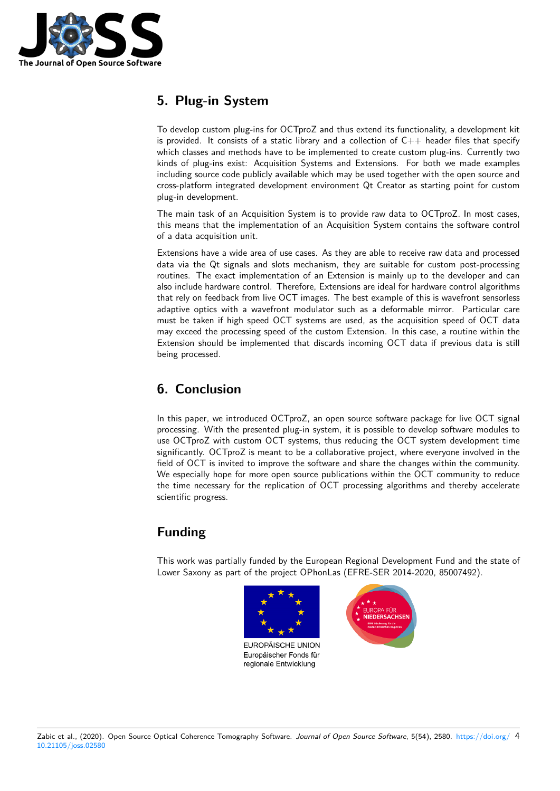

# **5. Plug-in System**

To develop custom plug-ins for OCTproZ and thus extend its functionality, a development kit is provided. It consists of a static library and a collection of  $C++$  header files that specify which classes and methods have to be implemented to create custom plug-ins. Currently two kinds of plug-ins exist: Acquisition Systems and Extensions. For both we made examples including source code publicly available which may be used together with the open source and cross-platform integrated development environment Qt Creator as starting point for custom plug-in development.

The main task of an Acquisition System is to provide raw data to OCTproZ. In most cases, this means that the implementation of an Acquisition System contains the software control of a data acquisition unit.

Extensions have a wide area of use cases. As they are able to receive raw data and processed data via the Qt signals and slots mechanism, they are suitable for custom post-processing routines. The exact implementation of an Extension is mainly up to the developer and can also include hardware control. Therefore, Extensions are ideal for hardware control algorithms that rely on feedback from live OCT images. The best example of this is wavefront sensorless adaptive optics with a wavefront modulator such as a deformable mirror. Particular care must be taken if high speed OCT systems are used, as the acquisition speed of OCT data may exceed the processing speed of the custom Extension. In this case, a routine within the Extension should be implemented that discards incoming OCT data if previous data is still being processed.

# **6. Conclusion**

In this paper, we introduced OCTproZ, an open source software package for live OCT signal processing. With the presented plug-in system, it is possible to develop software modules to use OCTproZ with custom OCT systems, thus reducing the OCT system development time significantly. OCTproZ is meant to be a collaborative project, where everyone involved in the field of OCT is invited to improve the software and share the changes within the community. We especially hope for more open source publications within the OCT community to reduce the time necessary for the replication of OCT processing algorithms and thereby accelerate scientific progress.

# **Funding**

This work was partially funded by the European Regional Development Fund and the state of Lower Saxony as part of the project OPhonLas (EFRE-SER 2014-2020, 85007492).